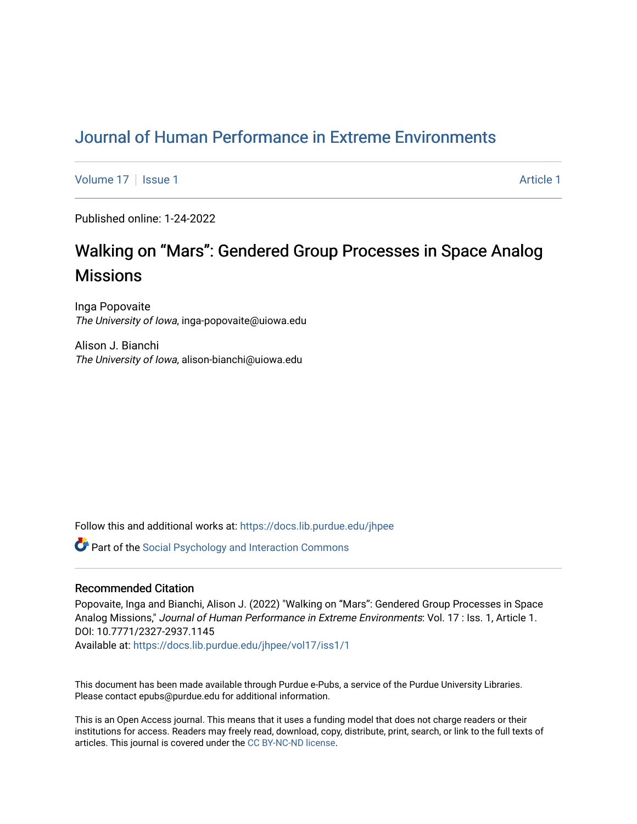# [Journal of Human Performance in Extreme Environments](https://docs.lib.purdue.edu/jhpee)

[Volume 17](https://docs.lib.purdue.edu/jhpee/vol17) | [Issue 1](https://docs.lib.purdue.edu/jhpee/vol17/iss1) Article 1

Published online: 1-24-2022

# Walking on "Mars": Gendered Group Processes in Space Analog **Missions**

Inga Popovaite The University of Iowa, inga-popovaite@uiowa.edu

Alison J. Bianchi The University of Iowa, alison-bianchi@uiowa.edu

Follow this and additional works at: [https://docs.lib.purdue.edu/jhpee](https://docs.lib.purdue.edu/jhpee?utm_source=docs.lib.purdue.edu%2Fjhpee%2Fvol17%2Fiss1%2F1&utm_medium=PDF&utm_campaign=PDFCoverPages) 

**Part of the Social Psychology and Interaction Commons** 

## Recommended Citation

Popovaite, Inga and Bianchi, Alison J. (2022) "Walking on ''Mars'': Gendered Group Processes in Space Analog Missions," Journal of Human Performance in Extreme Environments: Vol. 17 : Iss. 1, Article 1. DOI: 10.7771/2327-2937.1145

Available at: [https://docs.lib.purdue.edu/jhpee/vol17/iss1/1](https://docs.lib.purdue.edu/jhpee/vol17/iss1/1?utm_source=docs.lib.purdue.edu%2Fjhpee%2Fvol17%2Fiss1%2F1&utm_medium=PDF&utm_campaign=PDFCoverPages) 

This document has been made available through Purdue e-Pubs, a service of the Purdue University Libraries. Please contact epubs@purdue.edu for additional information.

This is an Open Access journal. This means that it uses a funding model that does not charge readers or their institutions for access. Readers may freely read, download, copy, distribute, print, search, or link to the full texts of articles. This journal is covered under the [CC BY-NC-ND license](https://creativecommons.org/licenses/by-nc-nd/4.0/).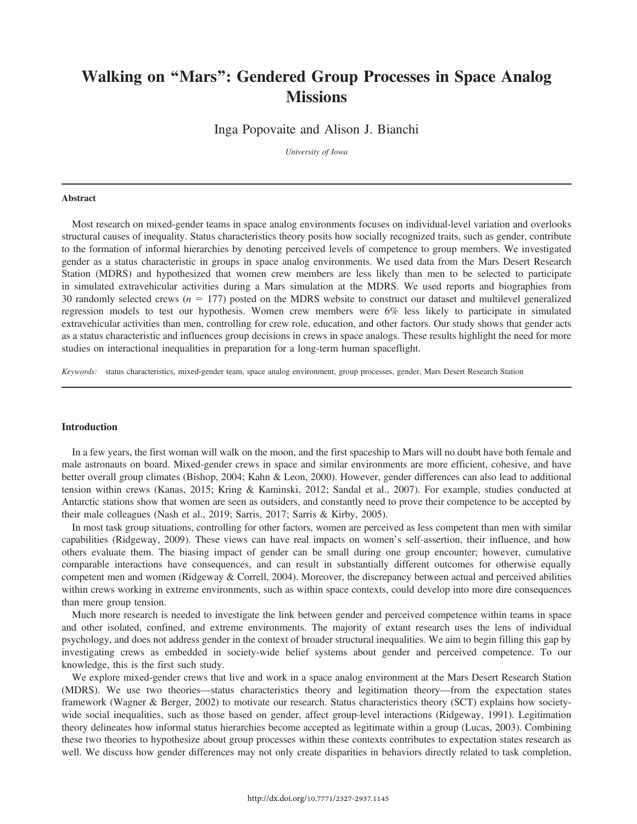## Walking on ''Mars'': Gendered Group Processes in Space Analog **Missions**

Inga Popovaite and Alison J. Bianchi

University of Iowa

#### Abstract

Most research on mixed-gender teams in space analog environments focuses on individual-level variation and overlooks structural causes of inequality. Status characteristics theory posits how socially recognized traits, such as gender, contribute to the formation of informal hierarchies by denoting perceived levels of competence to group members. We investigated gender as a status characteristic in groups in space analog environments. We used data from the Mars Desert Research Station (MDRS) and hypothesized that women crew members are less likely than men to be selected to participate in simulated extravehicular activities during a Mars simulation at the MDRS. We used reports and biographies from 30 randomly selected crews ( $n = 177$ ) posted on the MDRS website to construct our dataset and multilevel generalized regression models to test our hypothesis. Women crew members were 6% less likely to participate in simulated extravehicular activities than men, controlling for crew role, education, and other factors. Our study shows that gender acts as a status characteristic and influences group decisions in crews in space analogs. These results highlight the need for more studies on interactional inequalities in preparation for a long-term human spaceflight.

Keywords: status characteristics, mixed-gender team, space analog environment, group processes, gender, Mars Desert Research Station

## **Introduction**

In a few years, the first woman will walk on the moon, and the first spaceship to Mars will no doubt have both female and male astronauts on board. Mixed-gender crews in space and similar environments are more efficient, cohesive, and have better overall group climates (Bishop, 2004; Kahn & Leon, 2000). However, gender differences can also lead to additional tension within crews (Kanas, 2015; Kring & Kaminski, 2012; Sandal et al., 2007). For example, studies conducted at Antarctic stations show that women are seen as outsiders, and constantly need to prove their competence to be accepted by their male colleagues (Nash et al., 2019; Sarris, 2017; Sarris & Kirby, 2005).

In most task group situations, controlling for other factors, women are perceived as less competent than men with similar capabilities (Ridgeway, 2009). These views can have real impacts on women's self-assertion, their influence, and how others evaluate them. The biasing impact of gender can be small during one group encounter; however, cumulative comparable interactions have consequences, and can result in substantially different outcomes for otherwise equally competent men and women (Ridgeway & Correll, 2004). Moreover, the discrepancy between actual and perceived abilities within crews working in extreme environments, such as within space contexts, could develop into more dire consequences than mere group tension.

Much more research is needed to investigate the link between gender and perceived competence within teams in space and other isolated, confined, and extreme environments. The majority of extant research uses the lens of individual psychology, and does not address gender in the context of broader structural inequalities. We aim to begin filling this gap by investigating crews as embedded in society-wide belief systems about gender and perceived competence. To our knowledge, this is the first such study.

We explore mixed-gender crews that live and work in a space analog environment at the Mars Desert Research Station (MDRS). We use two theories—status characteristics theory and legitimation theory—from the expectation states framework (Wagner & Berger, 2002) to motivate our research. Status characteristics theory (SCT) explains how societywide social inequalities, such as those based on gender, affect group-level interactions (Ridgeway, 1991). Legitimation theory delineates how informal status hierarchies become accepted as legitimate within a group (Lucas, 2003). Combining these two theories to hypothesize about group processes within these contexts contributes to expectation states research as well. We discuss how gender differences may not only create disparities in behaviors directly related to task completion,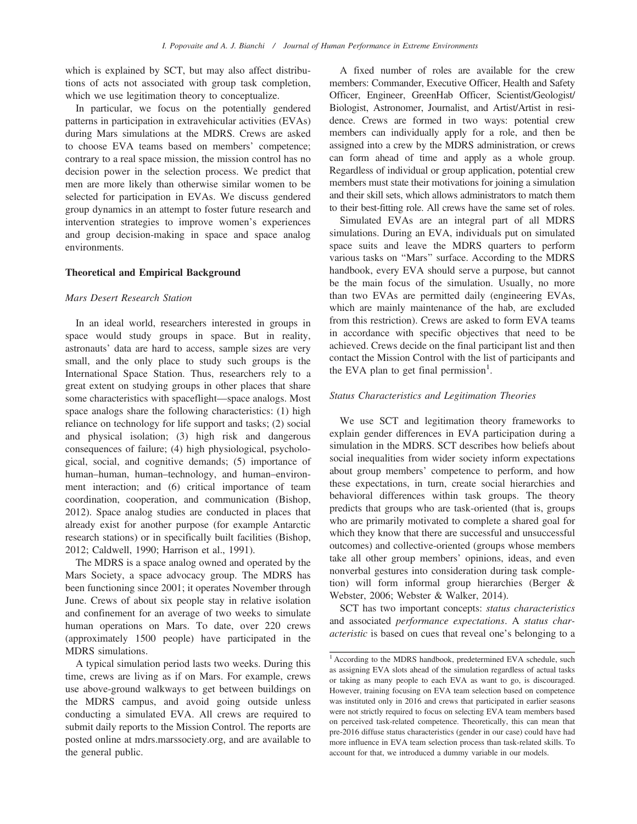which is explained by SCT, but may also affect distributions of acts not associated with group task completion, which we use legitimation theory to conceptualize.

In particular, we focus on the potentially gendered patterns in participation in extravehicular activities (EVAs) during Mars simulations at the MDRS. Crews are asked to choose EVA teams based on members' competence; contrary to a real space mission, the mission control has no decision power in the selection process. We predict that men are more likely than otherwise similar women to be selected for participation in EVAs. We discuss gendered group dynamics in an attempt to foster future research and intervention strategies to improve women's experiences and group decision-making in space and space analog environments.

## Theoretical and Empirical Background

## Mars Desert Research Station

In an ideal world, researchers interested in groups in space would study groups in space. But in reality, astronauts' data are hard to access, sample sizes are very small, and the only place to study such groups is the International Space Station. Thus, researchers rely to a great extent on studying groups in other places that share some characteristics with spaceflight—space analogs. Most space analogs share the following characteristics: (1) high reliance on technology for life support and tasks; (2) social and physical isolation; (3) high risk and dangerous consequences of failure; (4) high physiological, psychological, social, and cognitive demands; (5) importance of human–human, human–technology, and human–environment interaction; and (6) critical importance of team coordination, cooperation, and communication (Bishop, 2012). Space analog studies are conducted in places that already exist for another purpose (for example Antarctic research stations) or in specifically built facilities (Bishop, 2012; Caldwell, 1990; Harrison et al., 1991).

The MDRS is a space analog owned and operated by the Mars Society, a space advocacy group. The MDRS has been functioning since 2001; it operates November through June. Crews of about six people stay in relative isolation and confinement for an average of two weeks to simulate human operations on Mars. To date, over 220 crews (approximately 1500 people) have participated in the MDRS simulations.

A typical simulation period lasts two weeks. During this time, crews are living as if on Mars. For example, crews use above-ground walkways to get between buildings on the MDRS campus, and avoid going outside unless conducting a simulated EVA. All crews are required to submit daily reports to the Mission Control. The reports are posted online at mdrs.marssociety.org, and are available to the general public.

A fixed number of roles are available for the crew members: Commander, Executive Officer, Health and Safety Officer, Engineer, GreenHab Officer, Scientist/Geologist/ Biologist, Astronomer, Journalist, and Artist/Artist in residence. Crews are formed in two ways: potential crew members can individually apply for a role, and then be assigned into a crew by the MDRS administration, or crews can form ahead of time and apply as a whole group. Regardless of individual or group application, potential crew members must state their motivations for joining a simulation and their skill sets, which allows administrators to match them to their best-fitting role. All crews have the same set of roles.

Simulated EVAs are an integral part of all MDRS simulations. During an EVA, individuals put on simulated space suits and leave the MDRS quarters to perform various tasks on ''Mars'' surface. According to the MDRS handbook, every EVA should serve a purpose, but cannot be the main focus of the simulation. Usually, no more than two EVAs are permitted daily (engineering EVAs, which are mainly maintenance of the hab, are excluded from this restriction). Crews are asked to form EVA teams in accordance with specific objectives that need to be achieved. Crews decide on the final participant list and then contact the Mission Control with the list of participants and the EVA plan to get final permission<sup>1</sup>.

## Status Characteristics and Legitimation Theories

We use SCT and legitimation theory frameworks to explain gender differences in EVA participation during a simulation in the MDRS. SCT describes how beliefs about social inequalities from wider society inform expectations about group members' competence to perform, and how these expectations, in turn, create social hierarchies and behavioral differences within task groups. The theory predicts that groups who are task-oriented (that is, groups who are primarily motivated to complete a shared goal for which they know that there are successful and unsuccessful outcomes) and collective-oriented (groups whose members take all other group members' opinions, ideas, and even nonverbal gestures into consideration during task completion) will form informal group hierarchies (Berger & Webster, 2006; Webster & Walker, 2014).

SCT has two important concepts: status characteristics and associated performance expectations. A status characteristic is based on cues that reveal one's belonging to a

<sup>1</sup> According to the MDRS handbook, predetermined EVA schedule, such as assigning EVA slots ahead of the simulation regardless of actual tasks or taking as many people to each EVA as want to go, is discouraged. However, training focusing on EVA team selection based on competence was instituted only in 2016 and crews that participated in earlier seasons were not strictly required to focus on selecting EVA team members based on perceived task-related competence. Theoretically, this can mean that pre-2016 diffuse status characteristics (gender in our case) could have had more influence in EVA team selection process than task-related skills. To account for that, we introduced a dummy variable in our models.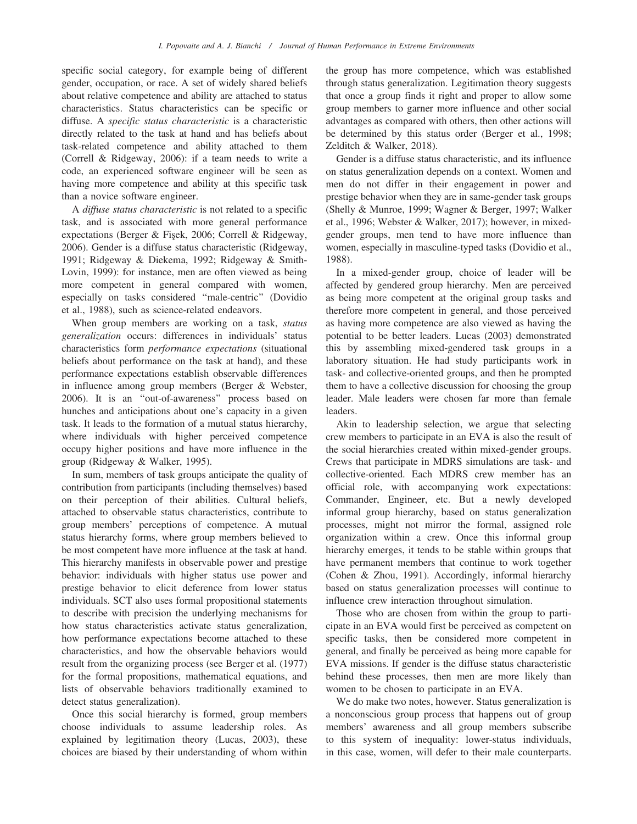specific social category, for example being of different gender, occupation, or race. A set of widely shared beliefs about relative competence and ability are attached to status characteristics. Status characteristics can be specific or diffuse. A specific status characteristic is a characteristic directly related to the task at hand and has beliefs about task-related competence and ability attached to them (Correll & Ridgeway, 2006): if a team needs to write a code, an experienced software engineer will be seen as having more competence and ability at this specific task than a novice software engineer.

A diffuse status characteristic is not related to a specific task, and is associated with more general performance expectations (Berger & Fişek, 2006; Correll & Ridgeway, 2006). Gender is a diffuse status characteristic (Ridgeway, 1991; Ridgeway & Diekema, 1992; Ridgeway & Smith-Lovin, 1999): for instance, men are often viewed as being more competent in general compared with women, especially on tasks considered ''male-centric'' (Dovidio et al., 1988), such as science-related endeavors.

When group members are working on a task, *status* generalization occurs: differences in individuals' status characteristics form performance expectations (situational beliefs about performance on the task at hand), and these performance expectations establish observable differences in influence among group members (Berger & Webster, 2006). It is an ''out-of-awareness'' process based on hunches and anticipations about one's capacity in a given task. It leads to the formation of a mutual status hierarchy, where individuals with higher perceived competence occupy higher positions and have more influence in the group (Ridgeway & Walker, 1995).

In sum, members of task groups anticipate the quality of contribution from participants (including themselves) based on their perception of their abilities. Cultural beliefs, attached to observable status characteristics, contribute to group members' perceptions of competence. A mutual status hierarchy forms, where group members believed to be most competent have more influence at the task at hand. This hierarchy manifests in observable power and prestige behavior: individuals with higher status use power and prestige behavior to elicit deference from lower status individuals. SCT also uses formal propositional statements to describe with precision the underlying mechanisms for how status characteristics activate status generalization, how performance expectations become attached to these characteristics, and how the observable behaviors would result from the organizing process (see Berger et al. (1977) for the formal propositions, mathematical equations, and lists of observable behaviors traditionally examined to detect status generalization).

Once this social hierarchy is formed, group members choose individuals to assume leadership roles. As explained by legitimation theory (Lucas, 2003), these choices are biased by their understanding of whom within the group has more competence, which was established through status generalization. Legitimation theory suggests that once a group finds it right and proper to allow some group members to garner more influence and other social advantages as compared with others, then other actions will be determined by this status order (Berger et al., 1998; Zelditch & Walker, 2018).

Gender is a diffuse status characteristic, and its influence on status generalization depends on a context. Women and men do not differ in their engagement in power and prestige behavior when they are in same-gender task groups (Shelly & Munroe, 1999; Wagner & Berger, 1997; Walker et al., 1996; Webster & Walker, 2017); however, in mixedgender groups, men tend to have more influence than women, especially in masculine-typed tasks (Dovidio et al., 1988).

In a mixed-gender group, choice of leader will be affected by gendered group hierarchy. Men are perceived as being more competent at the original group tasks and therefore more competent in general, and those perceived as having more competence are also viewed as having the potential to be better leaders. Lucas (2003) demonstrated this by assembling mixed-gendered task groups in a laboratory situation. He had study participants work in task- and collective-oriented groups, and then he prompted them to have a collective discussion for choosing the group leader. Male leaders were chosen far more than female leaders.

Akin to leadership selection, we argue that selecting crew members to participate in an EVA is also the result of the social hierarchies created within mixed-gender groups. Crews that participate in MDRS simulations are task- and collective-oriented. Each MDRS crew member has an official role, with accompanying work expectations: Commander, Engineer, etc. But a newly developed informal group hierarchy, based on status generalization processes, might not mirror the formal, assigned role organization within a crew. Once this informal group hierarchy emerges, it tends to be stable within groups that have permanent members that continue to work together (Cohen & Zhou, 1991). Accordingly, informal hierarchy based on status generalization processes will continue to influence crew interaction throughout simulation.

Those who are chosen from within the group to participate in an EVA would first be perceived as competent on specific tasks, then be considered more competent in general, and finally be perceived as being more capable for EVA missions. If gender is the diffuse status characteristic behind these processes, then men are more likely than women to be chosen to participate in an EVA.

We do make two notes, however. Status generalization is a nonconscious group process that happens out of group members' awareness and all group members subscribe to this system of inequality: lower-status individuals, in this case, women, will defer to their male counterparts.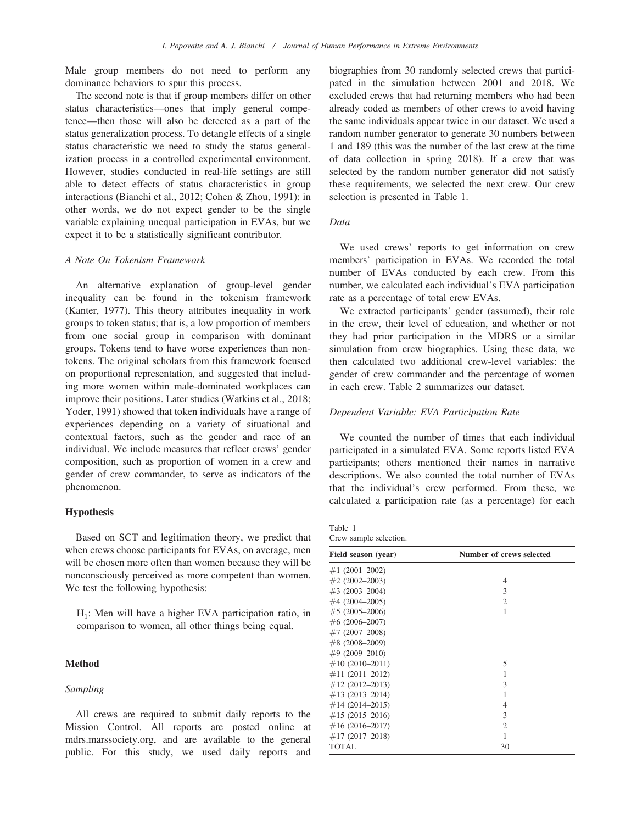Male group members do not need to perform any dominance behaviors to spur this process.

The second note is that if group members differ on other status characteristics—ones that imply general competence—then those will also be detected as a part of the status generalization process. To detangle effects of a single status characteristic we need to study the status generalization process in a controlled experimental environment. However, studies conducted in real-life settings are still able to detect effects of status characteristics in group interactions (Bianchi et al., 2012; Cohen & Zhou, 1991): in other words, we do not expect gender to be the single variable explaining unequal participation in EVAs, but we expect it to be a statistically significant contributor.

#### A Note On Tokenism Framework

An alternative explanation of group-level gender inequality can be found in the tokenism framework (Kanter, 1977). This theory attributes inequality in work groups to token status; that is, a low proportion of members from one social group in comparison with dominant groups. Tokens tend to have worse experiences than nontokens. The original scholars from this framework focused on proportional representation, and suggested that including more women within male-dominated workplaces can improve their positions. Later studies (Watkins et al., 2018; Yoder, 1991) showed that token individuals have a range of experiences depending on a variety of situational and contextual factors, such as the gender and race of an individual. We include measures that reflect crews' gender composition, such as proportion of women in a crew and gender of crew commander, to serve as indicators of the phenomenon.

#### Hypothesis

Based on SCT and legitimation theory, we predict that when crews choose participants for EVAs, on average, men will be chosen more often than women because they will be nonconsciously perceived as more competent than women. We test the following hypothesis:

 $H_1$ : Men will have a higher EVA participation ratio, in comparison to women, all other things being equal.

## Method

#### Sampling

All crews are required to submit daily reports to the Mission Control. All reports are posted online at mdrs.marssociety.org, and are available to the general public. For this study, we used daily reports and biographies from 30 randomly selected crews that participated in the simulation between 2001 and 2018. We excluded crews that had returning members who had been already coded as members of other crews to avoid having the same individuals appear twice in our dataset. We used a random number generator to generate 30 numbers between 1 and 189 (this was the number of the last crew at the time of data collection in spring 2018). If a crew that was selected by the random number generator did not satisfy these requirements, we selected the next crew. Our crew selection is presented in Table 1.

## Data

We used crews' reports to get information on crew members' participation in EVAs. We recorded the total number of EVAs conducted by each crew. From this number, we calculated each individual's EVA participation rate as a percentage of total crew EVAs.

We extracted participants' gender (assumed), their role in the crew, their level of education, and whether or not they had prior participation in the MDRS or a similar simulation from crew biographies. Using these data, we then calculated two additional crew-level variables: the gender of crew commander and the percentage of women in each crew. Table 2 summarizes our dataset.

## Dependent Variable: EVA Participation Rate

We counted the number of times that each individual participated in a simulated EVA. Some reports listed EVA participants; others mentioned their names in narrative descriptions. We also counted the total number of EVAs that the individual's crew performed. From these, we calculated a participation rate (as a percentage) for each

Table 1 Crew sample selection.

| Field season (year) | Number of crews selected |
|---------------------|--------------------------|
| $\#1(2001-2002)$    |                          |
| $#2(2002-2003)$     | 4                        |
| $\#3(2003-2004)$    | 3                        |
| $#4(2004-2005)$     | $\overline{c}$           |
| $#5(2005-2006)$     | 1                        |
| $\#6(2006-2007)$    |                          |
| $#7(2007-2008)$     |                          |
| $\#8(2008-2009)$    |                          |
| $\#9(2009-2010)$    |                          |
| $\#10(2010-2011)$   | 5                        |
| $\#11(2011-2012)$   | 1                        |
| $\#12(2012-2013)$   | 3                        |
| $\#13(2013-2014)$   | 1                        |
| $\#14(2014-2015)$   | 4                        |
| $\#15(2015-2016)$   | 3                        |
| $\#16(2016-2017)$   | 2                        |
| $#17(2017-2018)$    | 1                        |
| <b>TOTAL</b>        | 30                       |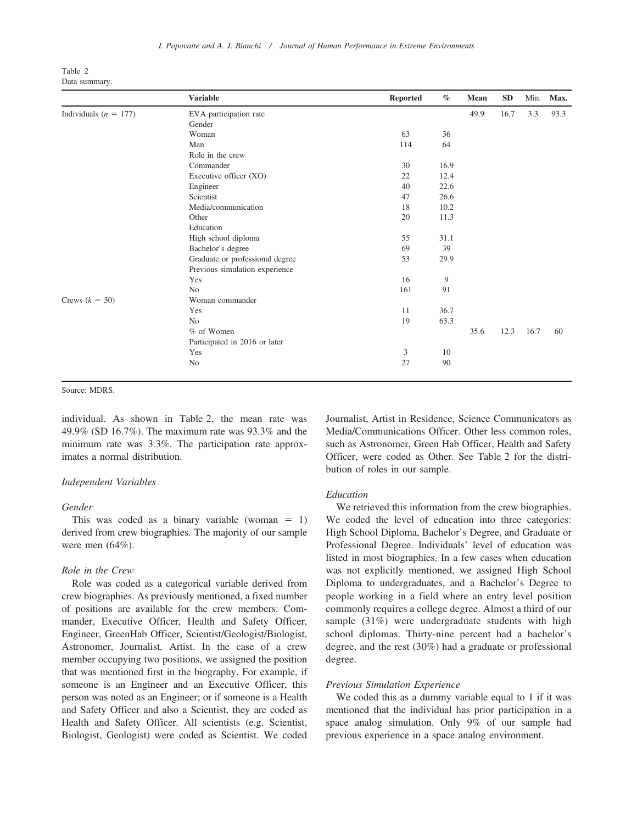| Table 2 |               |
|---------|---------------|
|         | Data summary. |

|                           | <b>Variable</b>                 | <b>Reported</b> | $\%$ | Mean | <b>SD</b> | Min. | Max. |
|---------------------------|---------------------------------|-----------------|------|------|-----------|------|------|
| Individuals ( $n = 177$ ) | EVA participation rate          |                 |      | 49.9 | 16.7      | 3.3  | 93.3 |
|                           | Gender                          |                 |      |      |           |      |      |
|                           | Woman                           | 63              | 36   |      |           |      |      |
|                           | Man                             | 114             | 64   |      |           |      |      |
|                           | Role in the crew                |                 |      |      |           |      |      |
|                           | Commander                       | 30              | 16.9 |      |           |      |      |
|                           | Executive officer (XO)          | 22              | 12.4 |      |           |      |      |
|                           | Engineer                        | 40              | 22.6 |      |           |      |      |
|                           | Scientist                       | 47              | 26.6 |      |           |      |      |
|                           | Media/communication             | 18              | 10.2 |      |           |      |      |
|                           | Other                           | 20              | 11.3 |      |           |      |      |
|                           | Education                       |                 |      |      |           |      |      |
|                           | High school diploma             | 55              | 31.1 |      |           |      |      |
|                           | Bachelor's degree               | 69              | 39   |      |           |      |      |
|                           | Graduate or professional degree | 53              | 29.9 |      |           |      |      |
|                           | Previous simulation experience  |                 |      |      |           |      |      |
|                           | Yes                             | 16              | 9    |      |           |      |      |
|                           | N <sub>0</sub>                  | 161             | 91   |      |           |      |      |
| Crews $(k = 30)$          | Woman commander                 |                 |      |      |           |      |      |
|                           | Yes                             | 11              | 36.7 |      |           |      |      |
|                           | N <sub>0</sub>                  | 19              | 63.3 |      |           |      |      |
|                           | % of Women                      |                 |      | 35.6 | 12.3      | 16.7 | 60   |
|                           | Participated in 2016 or later   |                 |      |      |           |      |      |
|                           | Yes                             | 3               | 10   |      |           |      |      |
|                           | No                              | 27              | 90   |      |           |      |      |

Source: MDRS.

individual. As shown in Table 2, the mean rate was 49.9% (SD 16.7%). The maximum rate was 93.3% and the minimum rate was 3.3%. The participation rate approximates a normal distribution.

## Independent Variables

#### Gender

This was coded as a binary variable (woman  $= 1$ ) derived from crew biographies. The majority of our sample were men (64%).

#### Role in the Crew

Role was coded as a categorical variable derived from crew biographies. As previously mentioned, a fixed number of positions are available for the crew members: Commander, Executive Officer, Health and Safety Officer, Engineer, GreenHab Officer, Scientist/Geologist/Biologist, Astronomer, Journalist, Artist. In the case of a crew member occupying two positions, we assigned the position that was mentioned first in the biography. For example, if someone is an Engineer and an Executive Officer, this person was noted as an Engineer; or if someone is a Health and Safety Officer and also a Scientist, they are coded as Health and Safety Officer. All scientists (e.g. Scientist, Biologist, Geologist) were coded as Scientist. We coded

Journalist, Artist in Residence, Science Communicators as Media/Communications Officer. Other less common roles, such as Astronomer, Green Hab Officer, Health and Safety Officer, were coded as Other. See Table 2 for the distribution of roles in our sample.

#### Education

We retrieved this information from the crew biographies. We coded the level of education into three categories: High School Diploma, Bachelor's Degree, and Graduate or Professional Degree. Individuals' level of education was listed in most biographies. In a few cases when education was not explicitly mentioned, we assigned High School Diploma to undergraduates, and a Bachelor's Degree to people working in a field where an entry level position commonly requires a college degree. Almost a third of our sample (31%) were undergraduate students with high school diplomas. Thirty-nine percent had a bachelor's degree, and the rest (30%) had a graduate or professional degree.

## Previous Simulation Experience

We coded this as a dummy variable equal to 1 if it was mentioned that the individual has prior participation in a space analog simulation. Only 9% of our sample had previous experience in a space analog environment.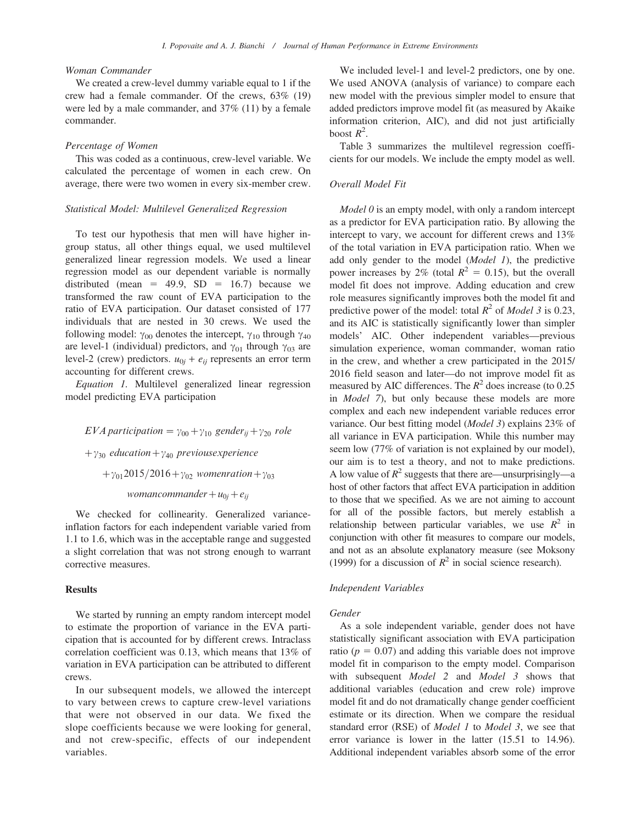#### Woman Commander

We created a crew-level dummy variable equal to 1 if the crew had a female commander. Of the crews, 63% (19) were led by a male commander, and 37% (11) by a female commander.

#### Percentage of Women

This was coded as a continuous, crew-level variable. We calculated the percentage of women in each crew. On average, there were two women in every six-member crew.

## Statistical Model: Multilevel Generalized Regression

To test our hypothesis that men will have higher ingroup status, all other things equal, we used multilevel generalized linear regression models. We used a linear regression model as our dependent variable is normally distributed (mean = 49.9, SD = 16.7) because we transformed the raw count of EVA participation to the ratio of EVA participation. Our dataset consisted of 177 individuals that are nested in 30 crews. We used the following model:  $\gamma_{00}$  denotes the intercept,  $\gamma_{10}$  through  $\gamma_{40}$ are level-1 (individual) predictors, and  $\gamma_{01}$  through  $\gamma_{03}$  are level-2 (crew) predictors.  $u_{0j} + e_{ij}$  represents an error term accounting for different crews.

Equation 1. Multilevel generalized linear regression model predicting EVA participation

EVA participation =  $\gamma_{00} + \gamma_{10}$  gender<sub>ij</sub> +  $\gamma_{20}$  role + $\gamma_{30}$  education+ $\gamma_{40}$  previousexperience  $+\gamma_{01}2015/2016+\gamma_{02}$  womenration  $+\gamma_{03}$ womancommander $+u_{0i}+e_{ii}$ 

We checked for collinearity. Generalized varianceinflation factors for each independent variable varied from 1.1 to 1.6, which was in the acceptable range and suggested a slight correlation that was not strong enough to warrant corrective measures.

## Results

We started by running an empty random intercept model to estimate the proportion of variance in the EVA participation that is accounted for by different crews. Intraclass correlation coefficient was 0.13, which means that 13% of variation in EVA participation can be attributed to different crews.

In our subsequent models, we allowed the intercept to vary between crews to capture crew-level variations that were not observed in our data. We fixed the slope coefficients because we were looking for general, and not crew-specific, effects of our independent variables.

We included level-1 and level-2 predictors, one by one. We used ANOVA (analysis of variance) to compare each new model with the previous simpler model to ensure that added predictors improve model fit (as measured by Akaike information criterion, AIC), and did not just artificially boost  $R^2$ .

Table 3 summarizes the multilevel regression coefficients for our models. We include the empty model as well.

## Overall Model Fit

Model 0 is an empty model, with only a random intercept as a predictor for EVA participation ratio. By allowing the intercept to vary, we account for different crews and 13% of the total variation in EVA participation ratio. When we add only gender to the model (Model 1), the predictive power increases by 2% (total  $R^2 = 0.15$ ), but the overall model fit does not improve. Adding education and crew role measures significantly improves both the model fit and predictive power of the model: total  $R^2$  of *Model 3* is 0.23, and its AIC is statistically significantly lower than simpler models' AIC. Other independent variables—previous simulation experience, woman commander, woman ratio in the crew, and whether a crew participated in the 2015/ 2016 field season and later—do not improve model fit as measured by AIC differences. The  $R^2$  does increase (to 0.25) in Model 7), but only because these models are more complex and each new independent variable reduces error variance. Our best fitting model (Model 3) explains 23% of all variance in EVA participation. While this number may seem low (77% of variation is not explained by our model), our aim is to test a theory, and not to make predictions. A low value of  $R^2$  suggests that there are—unsurprisingly—a host of other factors that affect EVA participation in addition to those that we specified. As we are not aiming to account for all of the possible factors, but merely establish a relationship between particular variables, we use  $R^2$  in conjunction with other fit measures to compare our models, and not as an absolute explanatory measure (see Moksony (1999) for a discussion of  $\mathbb{R}^2$  in social science research).

## Independent Variables

#### Gender

As a sole independent variable, gender does not have statistically significant association with EVA participation ratio ( $p = 0.07$ ) and adding this variable does not improve model fit in comparison to the empty model. Comparison with subsequent Model 2 and Model 3 shows that additional variables (education and crew role) improve model fit and do not dramatically change gender coefficient estimate or its direction. When we compare the residual standard error (RSE) of *Model 1* to *Model 3*, we see that error variance is lower in the latter (15.51 to 14.96). Additional independent variables absorb some of the error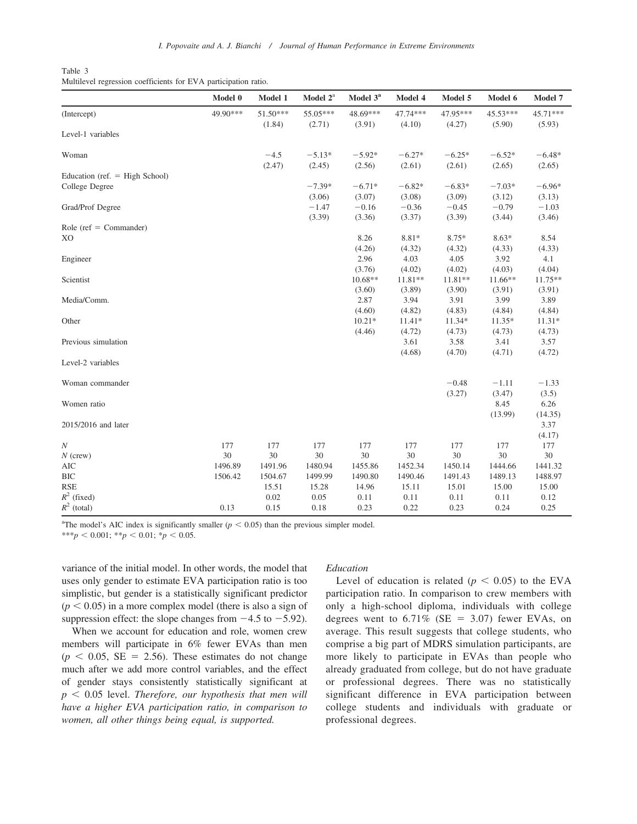| Table 3 |  |  |  |  |  |  |  |
|---------|--|--|--|--|--|--|--|
|         |  |  |  |  |  |  |  |

| Multilevel regression coefficients for EVA participation ratio. |  |  |  |
|-----------------------------------------------------------------|--|--|--|
|-----------------------------------------------------------------|--|--|--|

|                                  | Model 0  | Model 1            | Model $2^a$        | Model 3 <sup>a</sup> | Model 4            | Model 5            | Model 6            | Model 7            |
|----------------------------------|----------|--------------------|--------------------|----------------------|--------------------|--------------------|--------------------|--------------------|
| (Intercept)                      | 49.90*** | 51.50***<br>(1.84) | 55.05***<br>(2.71) | 48.69***<br>(3.91)   | 47.74***<br>(4.10) | 47.95***<br>(4.27) | 45.53***<br>(5.90) | 45.71***<br>(5.93) |
| Level-1 variables                |          |                    |                    |                      |                    |                    |                    |                    |
| Woman                            |          | $-4.5$             | $-5.13*$           | $-5.92*$             | $-6.27*$           | $-6.25*$           | $-6.52*$           | $-6.48*$           |
|                                  |          | (2.47)             | (2.45)             | (2.56)               | (2.61)             | (2.61)             | (2.65)             | (2.65)             |
| Education (ref. $=$ High School) |          |                    |                    |                      |                    |                    |                    |                    |
| College Degree                   |          |                    | $-7.39*$           | $-6.71*$             | $-6.82*$           | $-6.83*$           | $-7.03*$           | $-6.96*$           |
|                                  |          |                    | (3.06)             | (3.07)               | (3.08)             | (3.09)             | (3.12)             | (3.13)             |
| Grad/Prof Degree                 |          |                    | $-1.47$            | $-0.16$              | $-0.36$            | $-0.45$            | $-0.79$            | $-1.03$            |
|                                  |          |                    | (3.39)             | (3.36)               | (3.37)             | (3.39)             | (3.44)             | (3.46)             |
| Role ( $ref = Commander$ )       |          |                    |                    |                      |                    |                    |                    |                    |
| XO                               |          |                    |                    | 8.26                 | 8.81*              | $8.75*$            | $8.63*$            | 8.54               |
|                                  |          |                    |                    | (4.26)               | (4.32)             | (4.32)             | (4.33)             | (4.33)             |
| Engineer                         |          |                    |                    | 2.96                 | 4.03               | 4.05               | 3.92               | 4.1                |
|                                  |          |                    |                    | (3.76)               | (4.02)             | (4.02)             | (4.03)             | (4.04)             |
| Scientist                        |          |                    |                    | 10.68**              | 11.81**            | 11.81**            | $11.66**$          | 11.75**            |
|                                  |          |                    |                    | (3.60)               | (3.89)             | (3.90)             | (3.91)             | (3.91)             |
| Media/Comm.                      |          |                    |                    | 2.87                 | 3.94               | 3.91               | 3.99               | 3.89               |
|                                  |          |                    |                    | (4.60)               | (4.82)             | (4.83)             | (4.84)             | (4.84)             |
| Other                            |          |                    |                    | $10.21*$             | $11.41*$           | 11.34*             | $11.35*$           | $11.31*$           |
|                                  |          |                    |                    | (4.46)               | (4.72)             | (4.73)             | (4.73)             | (4.73)             |
| Previous simulation              |          |                    |                    |                      | 3.61               | 3.58               | 3.41               | 3.57               |
|                                  |          |                    |                    |                      | (4.68)             | (4.70)             | (4.71)             | (4.72)             |
| Level-2 variables                |          |                    |                    |                      |                    |                    |                    |                    |
| Woman commander                  |          |                    |                    |                      |                    | $-0.48$            | $-1.11$            | $-1.33$            |
|                                  |          |                    |                    |                      |                    | (3.27)             | (3.47)             | (3.5)              |
| Women ratio                      |          |                    |                    |                      |                    |                    | 8.45               | 6.26               |
|                                  |          |                    |                    |                      |                    |                    | (13.99)            | (14.35)            |
| 2015/2016 and later              |          |                    |                    |                      |                    |                    |                    | 3.37               |
|                                  |          |                    |                    |                      |                    |                    |                    | (4.17)             |
| $\cal N$                         | 177      | 177                | 177                | 177                  | 177                | 177                | 177                | 177                |
| $N$ (crew)                       | 30       | 30                 | 30                 | 30                   | 30                 | 30                 | 30                 | 30                 |
| <b>AIC</b>                       | 1496.89  | 1491.96            | 1480.94            | 1455.86              | 1452.34            | 1450.14            | 1444.66            | 1441.32            |
| <b>BIC</b>                       | 1506.42  | 1504.67            | 1499.99            | 1490.80              | 1490.46            | 1491.43            | 1489.13            | 1488.97            |
| <b>RSE</b>                       |          | 15.51              | 15.28              | 14.96                | 15.11              | 15.01              | 15.00              | 15.00              |
| $R^2$ (fixed)                    |          | 0.02               | 0.05               | 0.11                 | 0.11               | 0.11               | 0.11               | 0.12               |
| $R^2$ (total)                    | 0.13     | 0.15               | 0.18               | 0.23                 | 0.22               | 0.23               | 0.24               | 0.25               |

<sup>a</sup>The model's AIC index is significantly smaller ( $p < 0.05$ ) than the previous simpler model.

\*\*\*p < 0.001; \*\*p < 0.01; \*p < 0.05.

variance of the initial model. In other words, the model that uses only gender to estimate EVA participation ratio is too simplistic, but gender is a statistically significant predictor  $(p < 0.05)$  in a more complex model (there is also a sign of suppression effect: the slope changes from  $-4.5$  to  $-5.92$ ).

When we account for education and role, women crew members will participate in 6% fewer EVAs than men  $(p < 0.05, SE = 2.56)$ . These estimates do not change much after we add more control variables, and the effect of gender stays consistently statistically significant at  $p < 0.05$  level. Therefore, our hypothesis that men will have a higher EVA participation ratio, in comparison to women, all other things being equal, is supported.

#### Education

Level of education is related ( $p < 0.05$ ) to the EVA participation ratio. In comparison to crew members with only a high-school diploma, individuals with college degrees went to  $6.71\%$  (SE = 3.07) fewer EVAs, on average. This result suggests that college students, who comprise a big part of MDRS simulation participants, are more likely to participate in EVAs than people who already graduated from college, but do not have graduate or professional degrees. There was no statistically significant difference in EVA participation between college students and individuals with graduate or professional degrees.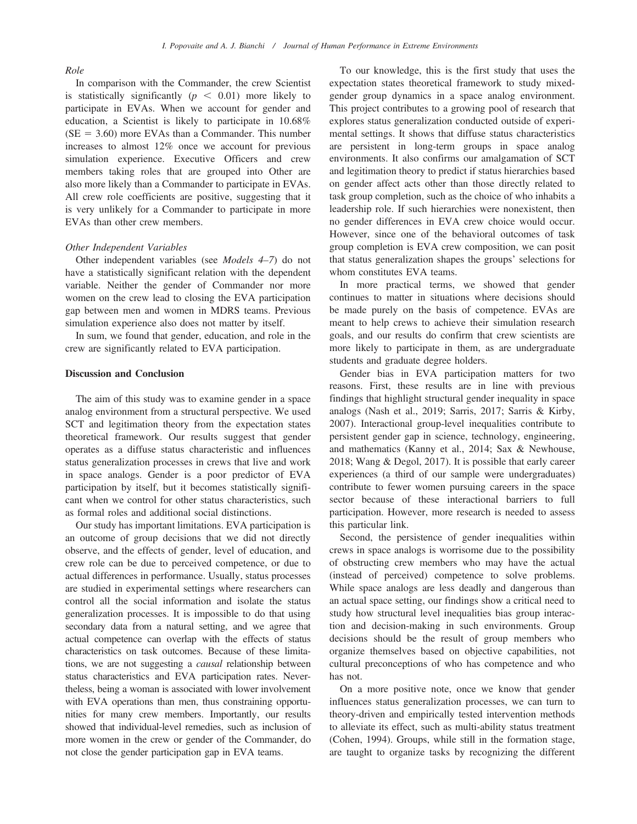#### Role

In comparison with the Commander, the crew Scientist is statistically significantly ( $p < 0.01$ ) more likely to participate in EVAs. When we account for gender and education, a Scientist is likely to participate in 10.68%  $(SE = 3.60)$  more EVAs than a Commander. This number increases to almost 12% once we account for previous simulation experience. Executive Officers and crew members taking roles that are grouped into Other are also more likely than a Commander to participate in EVAs. All crew role coefficients are positive, suggesting that it is very unlikely for a Commander to participate in more EVAs than other crew members.

## Other Independent Variables

Other independent variables (see Models 4–7) do not have a statistically significant relation with the dependent variable. Neither the gender of Commander nor more women on the crew lead to closing the EVA participation gap between men and women in MDRS teams. Previous simulation experience also does not matter by itself.

In sum, we found that gender, education, and role in the crew are significantly related to EVA participation.

## Discussion and Conclusion

The aim of this study was to examine gender in a space analog environment from a structural perspective. We used SCT and legitimation theory from the expectation states theoretical framework. Our results suggest that gender operates as a diffuse status characteristic and influences status generalization processes in crews that live and work in space analogs. Gender is a poor predictor of EVA participation by itself, but it becomes statistically significant when we control for other status characteristics, such as formal roles and additional social distinctions.

Our study has important limitations. EVA participation is an outcome of group decisions that we did not directly observe, and the effects of gender, level of education, and crew role can be due to perceived competence, or due to actual differences in performance. Usually, status processes are studied in experimental settings where researchers can control all the social information and isolate the status generalization processes. It is impossible to do that using secondary data from a natural setting, and we agree that actual competence can overlap with the effects of status characteristics on task outcomes. Because of these limitations, we are not suggesting a causal relationship between status characteristics and EVA participation rates. Nevertheless, being a woman is associated with lower involvement with EVA operations than men, thus constraining opportunities for many crew members. Importantly, our results showed that individual-level remedies, such as inclusion of more women in the crew or gender of the Commander, do not close the gender participation gap in EVA teams.

To our knowledge, this is the first study that uses the expectation states theoretical framework to study mixedgender group dynamics in a space analog environment. This project contributes to a growing pool of research that explores status generalization conducted outside of experimental settings. It shows that diffuse status characteristics are persistent in long-term groups in space analog environments. It also confirms our amalgamation of SCT and legitimation theory to predict if status hierarchies based on gender affect acts other than those directly related to task group completion, such as the choice of who inhabits a leadership role. If such hierarchies were nonexistent, then no gender differences in EVA crew choice would occur. However, since one of the behavioral outcomes of task group completion is EVA crew composition, we can posit that status generalization shapes the groups' selections for whom constitutes EVA teams.

In more practical terms, we showed that gender continues to matter in situations where decisions should be made purely on the basis of competence. EVAs are meant to help crews to achieve their simulation research goals, and our results do confirm that crew scientists are more likely to participate in them, as are undergraduate students and graduate degree holders.

Gender bias in EVA participation matters for two reasons. First, these results are in line with previous findings that highlight structural gender inequality in space analogs (Nash et al., 2019; Sarris, 2017; Sarris & Kirby, 2007). Interactional group-level inequalities contribute to persistent gender gap in science, technology, engineering, and mathematics (Kanny et al., 2014; Sax & Newhouse, 2018; Wang & Degol, 2017). It is possible that early career experiences (a third of our sample were undergraduates) contribute to fewer women pursuing careers in the space sector because of these interactional barriers to full participation. However, more research is needed to assess this particular link.

Second, the persistence of gender inequalities within crews in space analogs is worrisome due to the possibility of obstructing crew members who may have the actual (instead of perceived) competence to solve problems. While space analogs are less deadly and dangerous than an actual space setting, our findings show a critical need to study how structural level inequalities bias group interaction and decision-making in such environments. Group decisions should be the result of group members who organize themselves based on objective capabilities, not cultural preconceptions of who has competence and who has not.

On a more positive note, once we know that gender influences status generalization processes, we can turn to theory-driven and empirically tested intervention methods to alleviate its effect, such as multi-ability status treatment (Cohen, 1994). Groups, while still in the formation stage, are taught to organize tasks by recognizing the different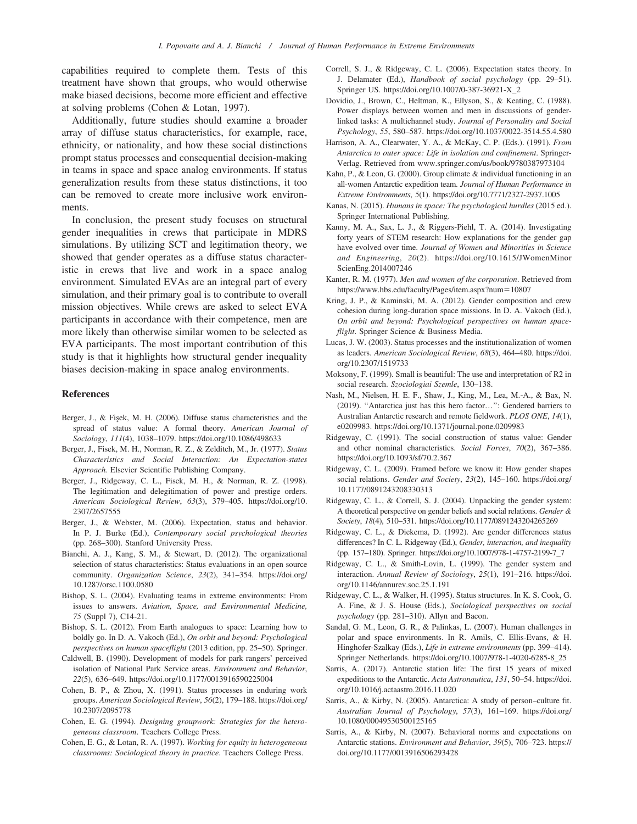capabilities required to complete them. Tests of this treatment have shown that groups, who would otherwise make biased decisions, become more efficient and effective at solving problems (Cohen & Lotan, 1997).

Additionally, future studies should examine a broader array of diffuse status characteristics, for example, race, ethnicity, or nationality, and how these social distinctions prompt status processes and consequential decision-making in teams in space and space analog environments. If status generalization results from these status distinctions, it too can be removed to create more inclusive work environments.

In conclusion, the present study focuses on structural gender inequalities in crews that participate in MDRS simulations. By utilizing SCT and legitimation theory, we showed that gender operates as a diffuse status characteristic in crews that live and work in a space analog environment. Simulated EVAs are an integral part of every simulation, and their primary goal is to contribute to overall mission objectives. While crews are asked to select EVA participants in accordance with their competence, men are more likely than otherwise similar women to be selected as EVA participants. The most important contribution of this study is that it highlights how structural gender inequality biases decision-making in space analog environments.

#### References

- Berger, J., & Fisek, M. H. (2006). Diffuse status characteristics and the spread of status value: A formal theory. American Journal of Sociology, 111(4), 1038–1079.<https://doi.org/10.1086/498633>
- Berger, J., Fisek, M. H., Norman, R. Z., & Zelditch, M., Jr. (1977). Status Characteristics and Social Interaction: An Expectation-states Approach. Elsevier Scientific Publishing Company.
- Berger, J., Ridgeway, C. L., Fisek, M. H., & Norman, R. Z. (1998). The legitimation and delegitimation of power and prestige orders. American Sociological Review, 63(3), 379–405. [https://doi.org/10.](https://doi.org/10.2307/2657555) [2307/2657555](https://doi.org/10.2307/2657555)
- Berger, J., & Webster, M. (2006). Expectation, status and behavior. In P. J. Burke (Ed.), Contemporary social psychological theories (pp. 268–300). Stanford University Press.
- Bianchi, A. J., Kang, S. M., & Stewart, D. (2012). The organizational selection of status characteristics: Status evaluations in an open source community. Organization Science, 23(2), 341–354. [https://doi.org/](https://doi.org/10.1287/orsc.1100.0580) [10.1287/orsc.1100.0580](https://doi.org/10.1287/orsc.1100.0580)
- Bishop, S. L. (2004). Evaluating teams in extreme environments: From issues to answers. Aviation, Space, and Environmental Medicine, 75 (Suppl 7), C14-21.
- Bishop, S. L. (2012). From Earth analogues to space: Learning how to boldly go. In D. A. Vakoch (Ed.), On orbit and beyond: Psychological perspectives on human spaceflight (2013 edition, pp. 25–50). Springer.
- Caldwell, B. (1990). Development of models for park rangers' perceived isolation of National Park Service areas. Environment and Behavior, 22(5), 636–649.<https://doi.org/10.1177/0013916590225004>
- Cohen, B. P., & Zhou, X. (1991). Status processes in enduring work groups. American Sociological Review, 56(2), 179–188. [https://doi.org/](https://doi.org/10.2307/2095778) [10.2307/2095778](https://doi.org/10.2307/2095778)
- Cohen, E. G. (1994). Designing groupwork: Strategies for the heterogeneous classroom. Teachers College Press.
- Cohen, E. G., & Lotan, R. A. (1997). Working for equity in heterogeneous classrooms: Sociological theory in practice. Teachers College Press.
- Correll, S. J., & Ridgeway, C. L. (2006). Expectation states theory. In J. Delamater (Ed.), Handbook of social psychology (pp. 29-51). Springer US. [https://doi.org/10.1007/0-387-36921-X\\_2](https://doi.org/10.1007/0-387-36921-X_2)
- Dovidio, J., Brown, C., Heltman, K., Ellyson, S., & Keating, C. (1988). Power displays between women and men in discussions of genderlinked tasks: A multichannel study. Journal of Personality and Social Psychology, 55, 580–587.<https://doi.org/10.1037/0022-3514.55.4.580>
- Harrison, A. A., Clearwater, Y. A., & McKay, C. P. (Eds.). (1991). From Antarctica to outer space: Life in isolation and confinement. Springer-Verlag. Retrieved from<www.springer.com/us/book/9780387973104>
- Kahn, P., & Leon, G. (2000). Group climate & individual functioning in an all-women Antarctic expedition team. Journal of Human Performance in Extreme Environments, 5(1).<https://doi.org/10.7771/2327-2937.1005>
- Kanas, N. (2015). Humans in space: The psychological hurdles (2015 ed.). Springer International Publishing.
- Kanny, M. A., Sax, L. J., & Riggers-Piehl, T. A. (2014). Investigating forty years of STEM research: How explanations for the gender gap have evolved over time. Journal of Women and Minorities in Science and Engineering, 20(2). [https://doi.org/10.1615/JWomenMinor](https://doi.org/10.1615/JWomenMinorScienEng.2014007246) [ScienEng.2014007246](https://doi.org/10.1615/JWomenMinorScienEng.2014007246)
- Kanter, R. M. (1977). Men and women of the corporation. Retrieved from [https://www.hbs.edu/faculty/Pages/item.aspx?num](https://www.hbs.edu/faculty/Pages/item.aspx?num=10807)=10807
- Kring, J. P., & Kaminski, M. A. (2012). Gender composition and crew cohesion during long-duration space missions. In D. A. Vakoch (Ed.), On orbit and beyond: Psychological perspectives on human spaceflight. Springer Science & Business Media.
- Lucas, J. W. (2003). Status processes and the institutionalization of women as leaders. American Sociological Review, 68(3), 464–480. [https://doi.](https://doi.org/10.2307/1519733) [org/10.2307/1519733](https://doi.org/10.2307/1519733)
- Moksony, F. (1999). Small is beautiful: The use and interpretation of R2 in social research. Szociologiai Szemle, 130–138.
- Nash, M., Nielsen, H. E. F., Shaw, J., King, M., Lea, M.-A., & Bax, N. (2019). ''Antarctica just has this hero factor…'': Gendered barriers to Australian Antarctic research and remote fieldwork. PLOS ONE, 14(1), e0209983.<https://doi.org/10.1371/journal.pone.0209983>
- Ridgeway, C. (1991). The social construction of status value: Gender and other nominal characteristics. Social Forces, 70(2), 367–386. <https://doi.org/10.1093/sf/70.2.367>
- Ridgeway, C. L. (2009). Framed before we know it: How gender shapes social relations. Gender and Society, 23(2), 145–160. [https://doi.org/](https://doi.org/10.1177/0891243208330313) [10.1177/0891243208330313](https://doi.org/10.1177/0891243208330313)
- Ridgeway, C. L., & Correll, S. J. (2004). Unpacking the gender system: A theoretical perspective on gender beliefs and social relations. Gender & Society, 18(4), 510–531.<https://doi.org/10.1177/0891243204265269>
- Ridgeway, C. L., & Diekema, D. (1992). Are gender differences status differences? In C. L. Ridgeway (Ed.), Gender, interaction, and inequality (pp. 157–180). Springer. [https://doi.org/10.1007/978-1-4757-2199-7\\_7](https://doi.org/10.1007/978-1-4757-2199-7_7)
- Ridgeway, C. L., & Smith-Lovin, L. (1999). The gender system and interaction. Annual Review of Sociology, 25(1), 191–216. [https://doi.](https://doi.org/10.1146/annurev.soc.25.1.191) [org/10.1146/annurev.soc.25.1.191](https://doi.org/10.1146/annurev.soc.25.1.191)
- Ridgeway, C. L., & Walker, H. (1995). Status structures. In K. S. Cook, G. A. Fine, & J. S. House (Eds.), Sociological perspectives on social psychology (pp. 281–310). Allyn and Bacon.
- Sandal, G. M., Leon, G. R., & Palinkas, L. (2007). Human challenges in polar and space environments. In R. Amils, C. Ellis-Evans, & H. Hinghofer-Szalkay (Eds.), Life in extreme environments (pp. 399–414). Springer Netherlands. [https://doi.org/10.1007/978-1-4020-6285-8\\_25](https://doi.org/10.1007/978-1-4020-6285-8_25)
- Sarris, A. (2017). Antarctic station life: The first 15 years of mixed expeditions to the Antarctic. Acta Astronautica, 131, 50–54. [https://doi.](https://doi.org/10.1016/j.actaastro.2016.11.020) [org/10.1016/j.actaastro.2016.11.020](https://doi.org/10.1016/j.actaastro.2016.11.020)
- Sarris, A., & Kirby, N. (2005). Antarctica: A study of person–culture fit. Australian Journal of Psychology, 57(3), 161–169. [https://doi.org/](https://doi.org/10.1080/00049530500125165) [10.1080/00049530500125165](https://doi.org/10.1080/00049530500125165)
- Sarris, A., & Kirby, N. (2007). Behavioral norms and expectations on Antarctic stations. Environment and Behavior, 39(5), 706–723. [https://](https://doi.org/10.1177/0013916506293428) [doi.org/10.1177/0013916506293428](https://doi.org/10.1177/0013916506293428)